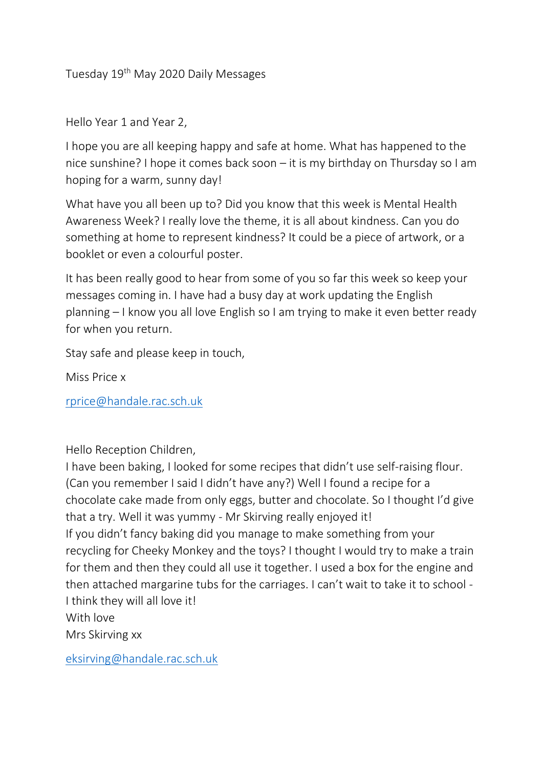Tuesday 19<sup>th</sup> May 2020 Daily Messages

Hello Year 1 and Year 2,

I hope you are all keeping happy and safe at home. What has happened to the nice sunshine? I hope it comes back soon – it is my birthday on Thursday so I am hoping for a warm, sunny day!

What have you all been up to? Did you know that this week is Mental Health Awareness Week? I really love the theme, it is all about kindness. Can you do something at home to represent kindness? It could be a piece of artwork, or a booklet or even a colourful poster.

It has been really good to hear from some of you so far this week so keep your messages coming in. I have had a busy day at work updating the English planning – I know you all love English so I am trying to make it even better ready for when you return.

Stay safe and please keep in touch,

Miss Price x

[rprice@handale.rac.sch.uk](mailto:rprice@handale.rac.sch.uk)

Hello Reception Children,

I have been baking, I looked for some recipes that didn't use self-raising flour. (Can you remember I said I didn't have any?) Well I found a recipe for a chocolate cake made from only eggs, butter and chocolate. So I thought I'd give that a try. Well it was yummy - Mr Skirving really enjoyed it! If you didn't fancy baking did you manage to make something from your recycling for Cheeky Monkey and the toys? I thought I would try to make a train for them and then they could all use it together. I used a box for the engine and then attached margarine tubs for the carriages. I can't wait to take it to school - I think they will all love it! With love Mrs Skirving xx

[eksirving@handale.rac.sch.uk](mailto:eksirving@handale.rac.sch.uk)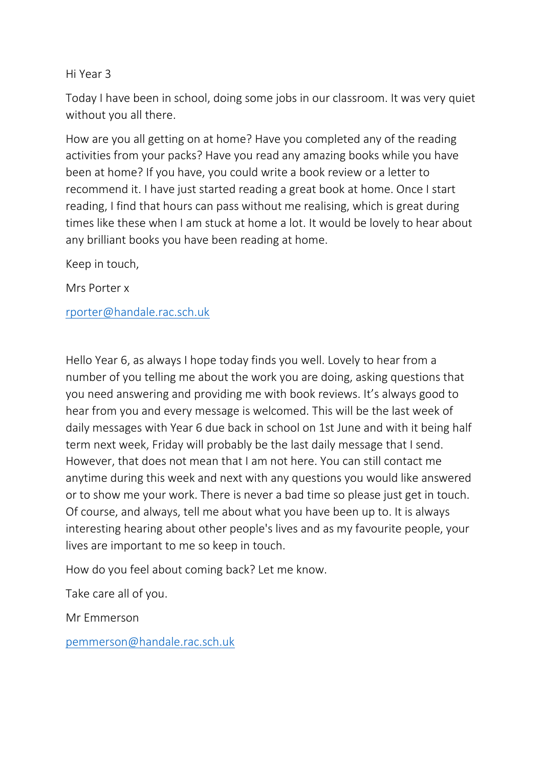## Hi Year 3

Today I have been in school, doing some jobs in our classroom. It was very quiet without you all there.

How are you all getting on at home? Have you completed any of the reading activities from your packs? Have you read any amazing books while you have been at home? If you have, you could write a book review or a letter to recommend it. I have just started reading a great book at home. Once I start reading, I find that hours can pass without me realising, which is great during times like these when I am stuck at home a lot. It would be lovely to hear about any brilliant books you have been reading at home.

Keep in touch,

Mrs Porter x

[rporter@handale.rac.sch.uk](mailto:rporter@handale.rac.sch.uk)

Hello Year 6, as always I hope today finds you well. Lovely to hear from a number of you telling me about the work you are doing, asking questions that you need answering and providing me with book reviews. It's always good to hear from you and every message is welcomed. This will be the last week of daily messages with Year 6 due back in school on 1st June and with it being half term next week, Friday will probably be the last daily message that I send. However, that does not mean that I am not here. You can still contact me anytime during this week and next with any questions you would like answered or to show me your work. There is never a bad time so please just get in touch. Of course, and always, tell me about what you have been up to. It is always interesting hearing about other people's lives and as my favourite people, your lives are important to me so keep in touch.

How do you feel about coming back? Let me know.

Take care all of you.

Mr Emmerson

[pemmerson@handale.rac.sch.uk](mailto:pemmerson@handale.rac.sch.uk)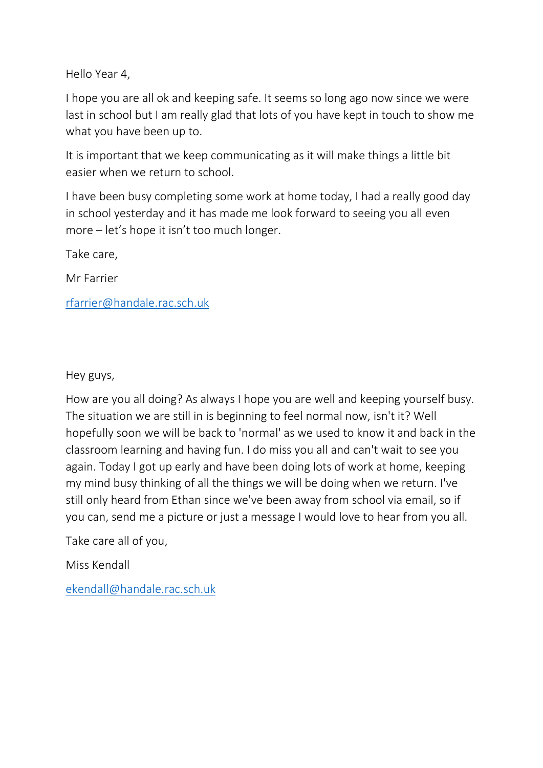Hello Year 4,

I hope you are all ok and keeping safe. It seems so long ago now since we were last in school but I am really glad that lots of you have kept in touch to show me what you have been up to.

It is important that we keep communicating as it will make things a little bit easier when we return to school.

I have been busy completing some work at home today, I had a really good day in school yesterday and it has made me look forward to seeing you all even more – let's hope it isn't too much longer.

Take care,

Mr Farrier

[rfarrier@handale.rac.sch.uk](mailto:rfarrier@handale.rac.sch.uk)

Hey guys,

How are you all doing? As always I hope you are well and keeping yourself busy. The situation we are still in is beginning to feel normal now, isn't it? Well hopefully soon we will be back to 'normal' as we used to know it and back in the classroom learning and having fun. I do miss you all and can't wait to see you again. Today I got up early and have been doing lots of work at home, keeping my mind busy thinking of all the things we will be doing when we return. I've still only heard from Ethan since we've been away from school via email, so if you can, send me a picture or just a message I would love to hear from you all.

Take care all of you,

Miss Kendall

[ekendall@handale.rac.sch.uk](mailto:ekendall@handale.rac.sch.uk)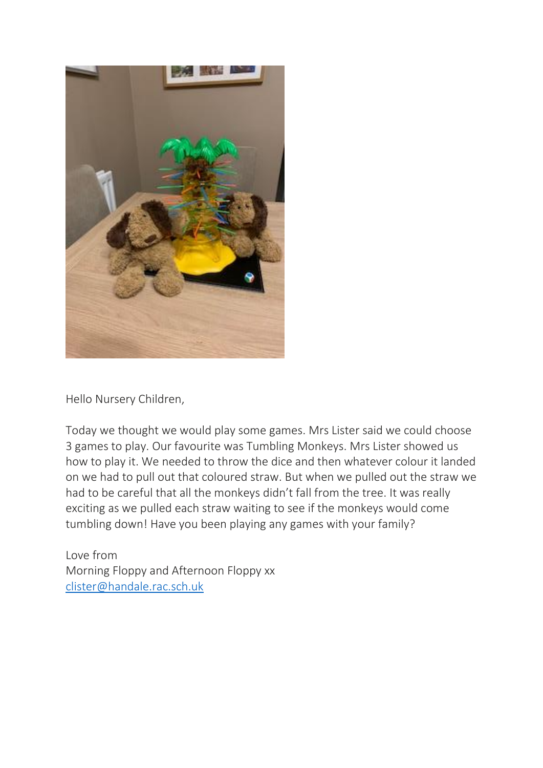

Hello Nursery Children,

Today we thought we would play some games. Mrs Lister said we could choose 3 games to play. Our favourite was Tumbling Monkeys. Mrs Lister showed us how to play it. We needed to throw the dice and then whatever colour it landed on we had to pull out that coloured straw. But when we pulled out the straw we had to be careful that all the monkeys didn't fall from the tree. It was really exciting as we pulled each straw waiting to see if the monkeys would come tumbling down! Have you been playing any games with your family?

Love from Morning Floppy and Afternoon Floppy xx [clister@handale.rac.sch.uk](mailto:clister@handale.rac.sch.uk)